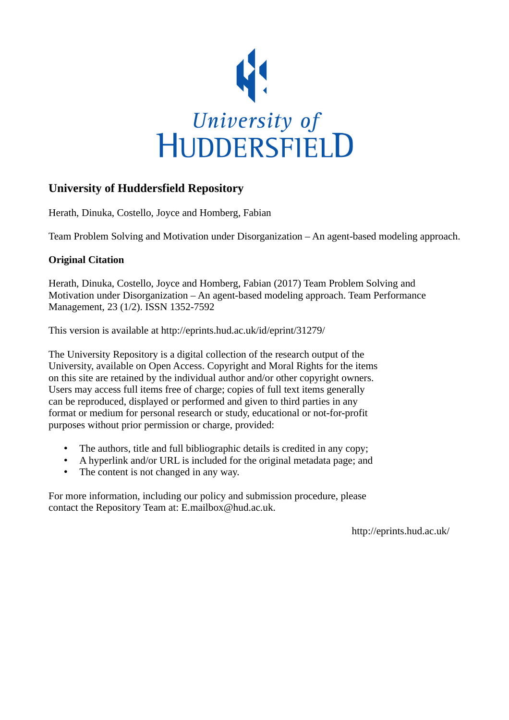

# **University of Huddersfield Repository**

Herath, Dinuka, Costello, Joyce and Homberg, Fabian

Team Problem Solving and Motivation under Disorganization – An agent-based modeling approach.

# **Original Citation**

Herath, Dinuka, Costello, Joyce and Homberg, Fabian (2017) Team Problem Solving and Motivation under Disorganization – An agent-based modeling approach. Team Performance Management, 23 (1/2). ISSN 1352-7592

This version is available at http://eprints.hud.ac.uk/id/eprint/31279/

The University Repository is a digital collection of the research output of the University, available on Open Access. Copyright and Moral Rights for the items on this site are retained by the individual author and/or other copyright owners. Users may access full items free of charge; copies of full text items generally can be reproduced, displayed or performed and given to third parties in any format or medium for personal research or study, educational or not-for-profit purposes without prior permission or charge, provided:

- The authors, title and full bibliographic details is credited in any copy;
- A hyperlink and/or URL is included for the original metadata page; and
- The content is not changed in any way.

For more information, including our policy and submission procedure, please contact the Repository Team at: E.mailbox@hud.ac.uk.

http://eprints.hud.ac.uk/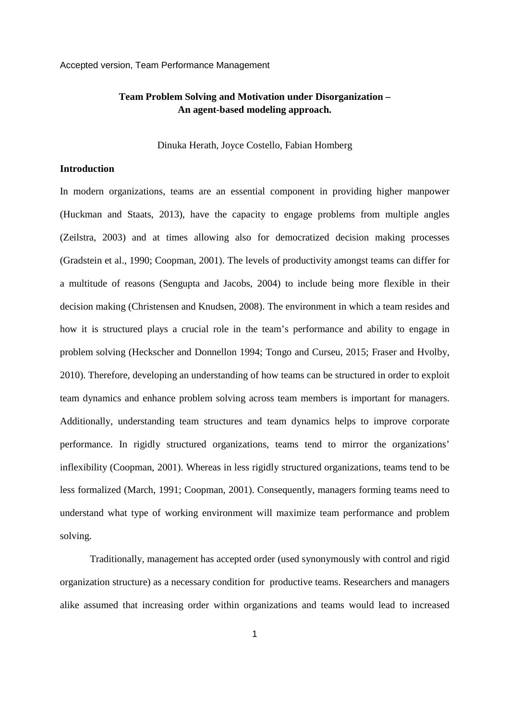# **Team Problem Solving and Motivation under Disorganization – An agent-based modeling approach.**

Dinuka Herath, Joyce Costello, Fabian Homberg

## **Introduction**

In modern organizations, teams are an essential component in providing higher manpower (Huckman and Staats, 2013), have the capacity to engage problems from multiple angles (Zeilstra, 2003) and at times allowing also for democratized decision making processes (Gradstein et al., 1990; Coopman, 2001). The levels of productivity amongst teams can differ for a multitude of reasons (Sengupta and Jacobs, 2004) to include being more flexible in their decision making (Christensen and Knudsen, 2008). The environment in which a team resides and how it is structured plays a crucial role in the team's performance and ability to engage in problem solving (Heckscher and Donnellon 1994; Tongo and Curseu, 2015; Fraser and Hvolby, 2010). Therefore, developing an understanding of how teams can be structured in order to exploit team dynamics and enhance problem solving across team members is important for managers. Additionally, understanding team structures and team dynamics helps to improve corporate performance. In rigidly structured organizations, teams tend to mirror the organizations' inflexibility (Coopman, 2001). Whereas in less rigidly structured organizations, teams tend to be less formalized (March, 1991; Coopman, 2001). Consequently, managers forming teams need to understand what type of working environment will maximize team performance and problem solving.

Traditionally, management has accepted order (used synonymously with control and rigid organization structure) as a necessary condition for productive teams. Researchers and managers alike assumed that increasing order within organizations and teams would lead to increased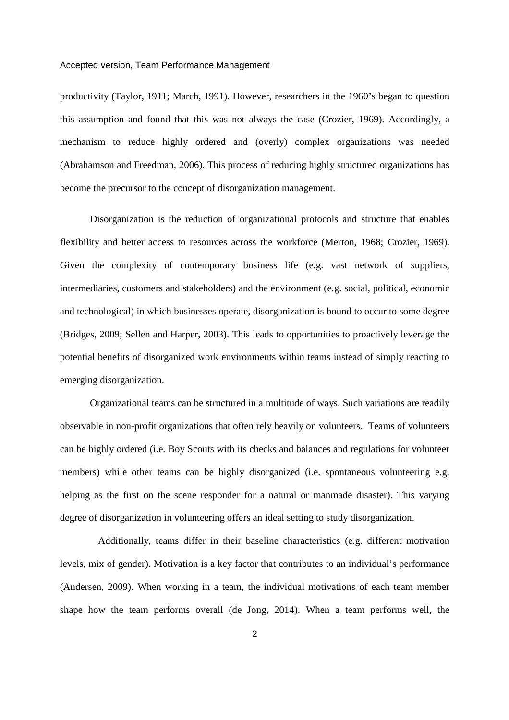productivity (Taylor, 1911; March, 1991). However, researchers in the 1960's began to question this assumption and found that this was not always the case (Crozier, 1969). Accordingly, a mechanism to reduce highly ordered and (overly) complex organizations was needed (Abrahamson and Freedman, 2006). This process of reducing highly structured organizations has become the precursor to the concept of disorganization management.

Disorganization is the reduction of organizational protocols and structure that enables flexibility and better access to resources across the workforce (Merton, 1968; Crozier, 1969). Given the complexity of contemporary business life (e.g. vast network of suppliers, intermediaries, customers and stakeholders) and the environment (e.g. social, political, economic and technological) in which businesses operate, disorganization is bound to occur to some degree (Bridges, 2009; Sellen and Harper, 2003). This leads to opportunities to proactively leverage the potential benefits of disorganized work environments within teams instead of simply reacting to emerging disorganization.

Organizational teams can be structured in a multitude of ways. Such variations are readily observable in non-profit organizations that often rely heavily on volunteers. Teams of volunteers can be highly ordered (i.e. Boy Scouts with its checks and balances and regulations for volunteer members) while other teams can be highly disorganized (i.e. spontaneous volunteering e.g. helping as the first on the scene responder for a natural or manmade disaster). This varying degree of disorganization in volunteering offers an ideal setting to study disorganization.

 Additionally, teams differ in their baseline characteristics (e.g. different motivation levels, mix of gender). Motivation is a key factor that contributes to an individual's performance (Andersen, 2009). When working in a team, the individual motivations of each team member shape how the team performs overall (de Jong, 2014). When a team performs well, the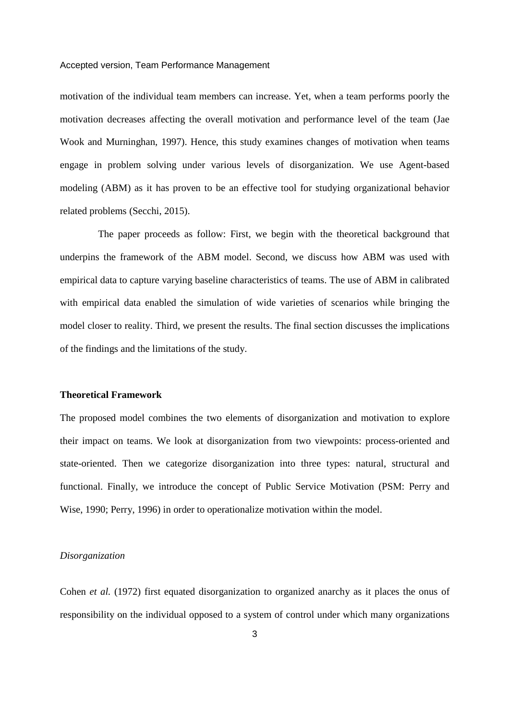motivation of the individual team members can increase. Yet, when a team performs poorly the motivation decreases affecting the overall motivation and performance level of the team (Jae Wook and Murninghan, 1997). Hence, this study examines changes of motivation when teams engage in problem solving under various levels of disorganization. We use Agent-based modeling (ABM) as it has proven to be an effective tool for studying organizational behavior related problems (Secchi, 2015).

 The paper proceeds as follow: First, we begin with the theoretical background that underpins the framework of the ABM model. Second, we discuss how ABM was used with empirical data to capture varying baseline characteristics of teams. The use of ABM in calibrated with empirical data enabled the simulation of wide varieties of scenarios while bringing the model closer to reality. Third, we present the results. The final section discusses the implications of the findings and the limitations of the study.

# **Theoretical Framework**

The proposed model combines the two elements of disorganization and motivation to explore their impact on teams. We look at disorganization from two viewpoints: process-oriented and state-oriented. Then we categorize disorganization into three types: natural, structural and functional. Finally, we introduce the concept of Public Service Motivation (PSM: Perry and Wise, 1990; Perry, 1996) in order to operationalize motivation within the model.

#### *Disorganization*

Cohen *et al.* (1972) first equated disorganization to organized anarchy as it places the onus of responsibility on the individual opposed to a system of control under which many organizations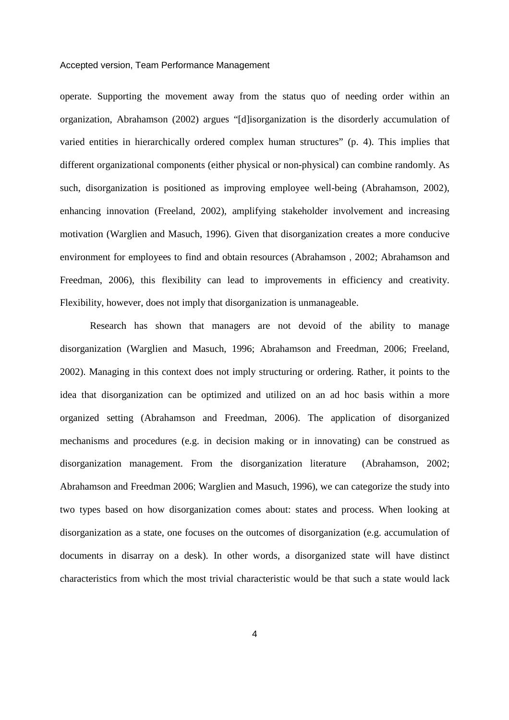operate. Supporting the movement away from the status quo of needing order within an organization, Abrahamson (2002) argues "[d]isorganization is the disorderly accumulation of varied entities in hierarchically ordered complex human structures" (p. 4). This implies that different organizational components (either physical or non-physical) can combine randomly. As such, disorganization is positioned as improving employee well-being (Abrahamson, 2002), enhancing innovation (Freeland, 2002), amplifying stakeholder involvement and increasing motivation (Warglien and Masuch, 1996). Given that disorganization creates a more conducive environment for employees to find and obtain resources (Abrahamson , 2002; Abrahamson and Freedman, 2006), this flexibility can lead to improvements in efficiency and creativity. Flexibility, however, does not imply that disorganization is unmanageable.

Research has shown that managers are not devoid of the ability to manage disorganization (Warglien and Masuch, 1996; Abrahamson and Freedman, 2006; Freeland, 2002). Managing in this context does not imply structuring or ordering. Rather, it points to the idea that disorganization can be optimized and utilized on an ad hoc basis within a more organized setting (Abrahamson and Freedman, 2006). The application of disorganized mechanisms and procedures (e.g. in decision making or in innovating) can be construed as disorganization management. From the disorganization literature (Abrahamson, 2002; Abrahamson and Freedman 2006; Warglien and Masuch, 1996), we can categorize the study into two types based on how disorganization comes about: states and process. When looking at disorganization as a state, one focuses on the outcomes of disorganization (e.g. accumulation of documents in disarray on a desk). In other words, a disorganized state will have distinct characteristics from which the most trivial characteristic would be that such a state would lack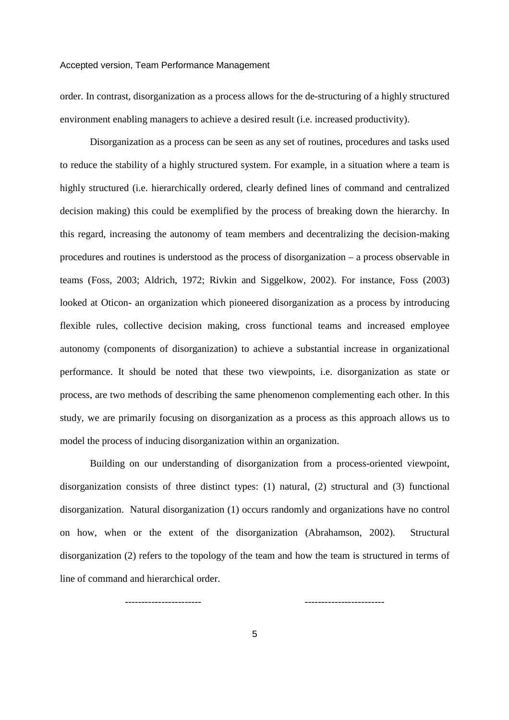order. In contrast, disorganization as a process allows for the de-structuring of a highly structured environment enabling managers to achieve a desired result (i.e. increased productivity).

Disorganization as a process can be seen as any set of routines, procedures and tasks used to reduce the stability of a highly structured system. For example, in a situation where a team is highly structured (i.e. hierarchically ordered, clearly defined lines of command and centralized decision making) this could be exemplified by the process of breaking down the hierarchy. In this regard, increasing the autonomy of team members and decentralizing the decision-making procedures and routines is understood as the process of disorganization – a process observable in teams (Foss, 2003; Aldrich, 1972; Rivkin and Siggelkow, 2002). For instance, Foss (2003) looked at Oticon- an organization which pioneered disorganization as a process by introducing flexible rules, collective decision making, cross functional teams and increased employee autonomy (components of disorganization) to achieve a substantial increase in organizational performance. It should be noted that these two viewpoints, i.e. disorganization as state or process, are two methods of describing the same phenomenon complementing each other. In this study, we are primarily focusing on disorganization as a process as this approach allows us to model the process of inducing disorganization within an organization.

Building on our understanding of disorganization from a process-oriented viewpoint, disorganization consists of three distinct types: (1) natural, (2) structural and (3) functional disorganization. Natural disorganization (1) occurs randomly and organizations have no control on how, when or the extent of the disorganization (Abrahamson, 2002). Structural disorganization (2) refers to the topology of the team and how the team is structured in terms of line of command and hierarchical order.

5

----------------------- ------------------------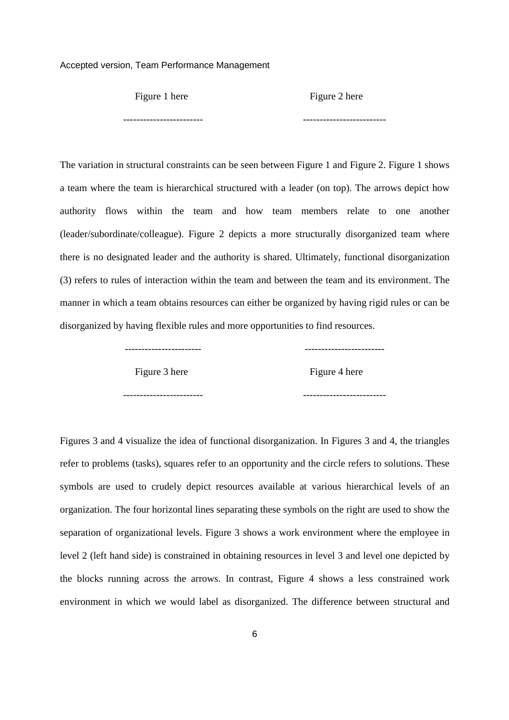#### Figure 1 here Figure 2 here

------------------------ -------------------------

The variation in structural constraints can be seen between Figure 1 and Figure 2. Figure 1 shows a team where the team is hierarchical structured with a leader (on top). The arrows depict how authority flows within the team and how team members relate to one another (leader/subordinate/colleague). Figure 2 depicts a more structurally disorganized team where there is no designated leader and the authority is shared. Ultimately, functional disorganization (3) refers to rules of interaction within the team and between the team and its environment. The manner in which a team obtains resources can either be organized by having rigid rules or can be disorganized by having flexible rules and more opportunities to find resources.

----------------------- ------------------------

Figure 3 here Figure 4 here

------------------------ -------------------------

Figures 3 and 4 visualize the idea of functional disorganization. In Figures 3 and 4, the triangles refer to problems (tasks), squares refer to an opportunity and the circle refers to solutions. These symbols are used to crudely depict resources available at various hierarchical levels of an organization. The four horizontal lines separating these symbols on the right are used to show the separation of organizational levels. Figure 3 shows a work environment where the employee in level 2 (left hand side) is constrained in obtaining resources in level 3 and level one depicted by the blocks running across the arrows. In contrast, Figure 4 shows a less constrained work environment in which we would label as disorganized. The difference between structural and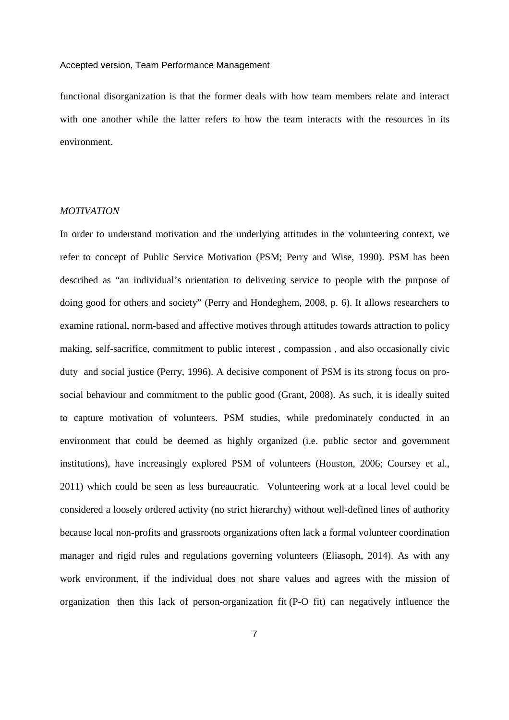functional disorganization is that the former deals with how team members relate and interact with one another while the latter refers to how the team interacts with the resources in its environment.

# *MOTIVATION*

In order to understand motivation and the underlying attitudes in the volunteering context, we refer to concept of Public Service Motivation (PSM; Perry and Wise, 1990). PSM has been described as "an individual's orientation to delivering service to people with the purpose of doing good for others and society" (Perry and Hondeghem, 2008, p. 6). It allows researchers to examine rational, norm-based and affective motives through attitudes towards attraction to policy making, self-sacrifice, commitment to public interest , compassion , and also occasionally civic duty and social justice (Perry, 1996). A decisive component of PSM is its strong focus on prosocial behaviour and commitment to the public good (Grant, 2008). As such, it is ideally suited to capture motivation of volunteers. PSM studies, while predominately conducted in an environment that could be deemed as highly organized (i.e. public sector and government institutions), have increasingly explored PSM of volunteers (Houston, 2006; Coursey et al., 2011) which could be seen as less bureaucratic. Volunteering work at a local level could be considered a loosely ordered activity (no strict hierarchy) without well-defined lines of authority because local non-profits and grassroots organizations often lack a formal volunteer coordination manager and rigid rules and regulations governing volunteers (Eliasoph, 2014). As with any work environment, if the individual does not share values and agrees with the mission of organization then this lack of person-organization fit (P-O fit) can negatively influence the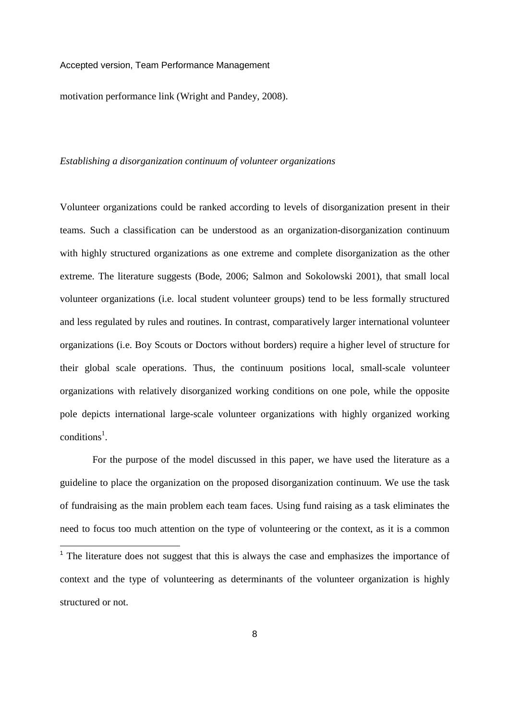1

motivation performance link (Wright and Pandey, 2008).

## *Establishing a disorganization continuum of volunteer organizations*

Volunteer organizations could be ranked according to levels of disorganization present in their teams. Such a classification can be understood as an organization-disorganization continuum with highly structured organizations as one extreme and complete disorganization as the other extreme. The literature suggests (Bode, 2006; Salmon and Sokolowski 2001), that small local volunteer organizations (i.e. local student volunteer groups) tend to be less formally structured and less regulated by rules and routines. In contrast, comparatively larger international volunteer organizations (i.e. Boy Scouts or Doctors without borders) require a higher level of structure for their global scale operations. Thus, the continuum positions local, small-scale volunteer organizations with relatively disorganized working conditions on one pole, while the opposite pole depicts international large-scale volunteer organizations with highly organized working conditions<sup>1</sup>.

 For the purpose of the model discussed in this paper, we have used the literature as a guideline to place the organization on the proposed disorganization continuum. We use the task of fundraising as the main problem each team faces. Using fund raising as a task eliminates the need to focus too much attention on the type of volunteering or the context, as it is a common

<sup>&</sup>lt;sup>1</sup> The literature does not suggest that this is always the case and emphasizes the importance of context and the type of volunteering as determinants of the volunteer organization is highly structured or not.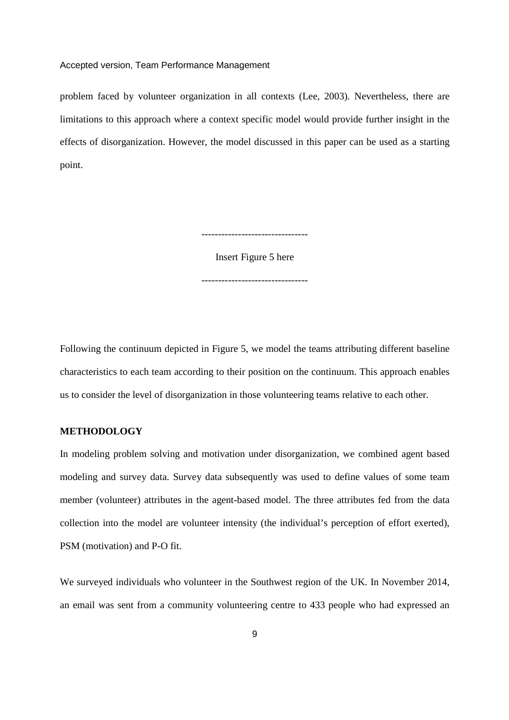problem faced by volunteer organization in all contexts (Lee, 2003). Nevertheless, there are limitations to this approach where a context specific model would provide further insight in the effects of disorganization. However, the model discussed in this paper can be used as a starting point.

--------------------------------

Insert Figure 5 here --------------------------------

Following the continuum depicted in Figure 5, we model the teams attributing different baseline characteristics to each team according to their position on the continuum. This approach enables us to consider the level of disorganization in those volunteering teams relative to each other.

# **METHODOLOGY**

In modeling problem solving and motivation under disorganization, we combined agent based modeling and survey data. Survey data subsequently was used to define values of some team member (volunteer) attributes in the agent-based model. The three attributes fed from the data collection into the model are volunteer intensity (the individual's perception of effort exerted), PSM (motivation) and P-O fit.

We surveyed individuals who volunteer in the Southwest region of the UK. In November 2014, an email was sent from a community volunteering centre to 433 people who had expressed an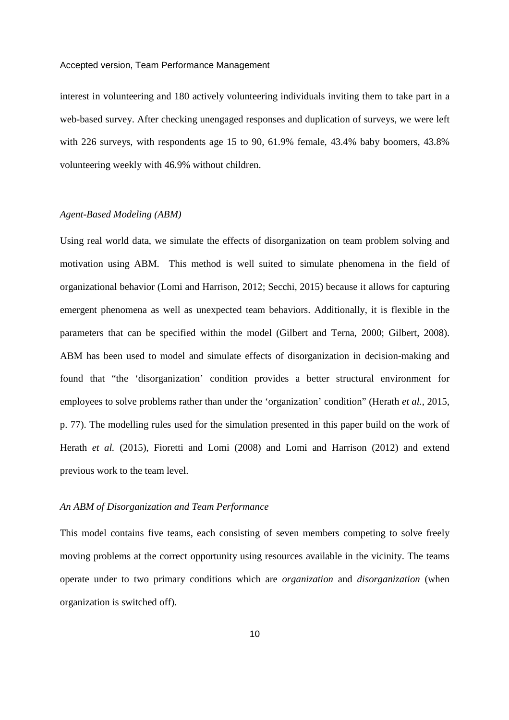interest in volunteering and 180 actively volunteering individuals inviting them to take part in a web-based survey. After checking unengaged responses and duplication of surveys, we were left with 226 surveys, with respondents age 15 to 90, 61.9% female, 43.4% baby boomers, 43.8% volunteering weekly with 46.9% without children.

# *Agent-Based Modeling (ABM)*

Using real world data, we simulate the effects of disorganization on team problem solving and motivation using ABM. This method is well suited to simulate phenomena in the field of organizational behavior (Lomi and Harrison, 2012; Secchi, 2015) because it allows for capturing emergent phenomena as well as unexpected team behaviors. Additionally, it is flexible in the parameters that can be specified within the model (Gilbert and Terna, 2000; Gilbert, 2008). ABM has been used to model and simulate effects of disorganization in decision-making and found that "the 'disorganization' condition provides a better structural environment for employees to solve problems rather than under the 'organization' condition" (Herath *et al.*, 2015, p. 77). The modelling rules used for the simulation presented in this paper build on the work of Herath *et al.* (2015), Fioretti and Lomi (2008) and Lomi and Harrison (2012) and extend previous work to the team level.

#### *An ABM of Disorganization and Team Performance*

This model contains five teams, each consisting of seven members competing to solve freely moving problems at the correct opportunity using resources available in the vicinity. The teams operate under to two primary conditions which are *organization* and *disorganization* (when organization is switched off).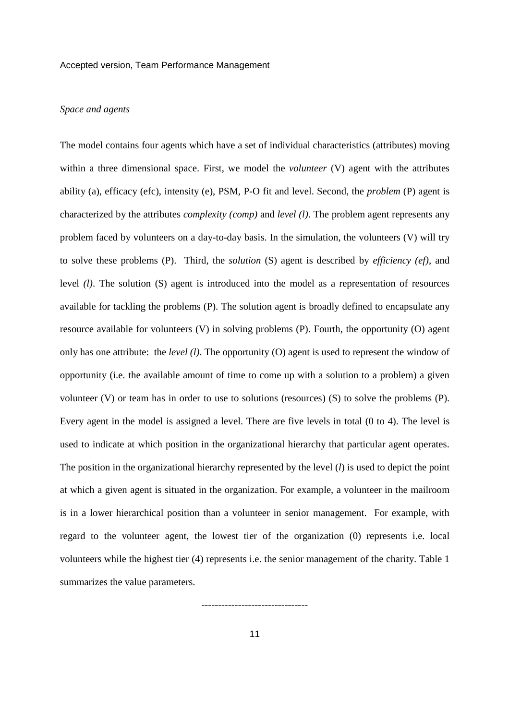# *Space and agents*

The model contains four agents which have a set of individual characteristics (attributes) moving within a three dimensional space. First, we model the *volunteer* (V) agent with the attributes ability (a), efficacy (efc), intensity (e), PSM, P-O fit and level. Second, the *problem* (P) agent is characterized by the attributes *complexity (comp)* and *level (l)*. The problem agent represents any problem faced by volunteers on a day-to-day basis. In the simulation, the volunteers (V) will try to solve these problems (P). Third, the *solution* (S) agent is described by *efficiency (ef)*, and level *(l)*. The solution (S) agent is introduced into the model as a representation of resources available for tackling the problems (P). The solution agent is broadly defined to encapsulate any resource available for volunteers (V) in solving problems (P). Fourth, the opportunity (O) agent only has one attribute: the *level (l)*. The opportunity (O) agent is used to represent the window of opportunity (i.e. the available amount of time to come up with a solution to a problem) a given volunteer (V) or team has in order to use to solutions (resources) (S) to solve the problems (P). Every agent in the model is assigned a level. There are five levels in total (0 to 4). The level is used to indicate at which position in the organizational hierarchy that particular agent operates. The position in the organizational hierarchy represented by the level (*l*) is used to depict the point at which a given agent is situated in the organization. For example, a volunteer in the mailroom is in a lower hierarchical position than a volunteer in senior management. For example, with regard to the volunteer agent, the lowest tier of the organization (0) represents i.e. local volunteers while the highest tier (4) represents i.e. the senior management of the charity. Table 1 summarizes the value parameters.

--------------------------------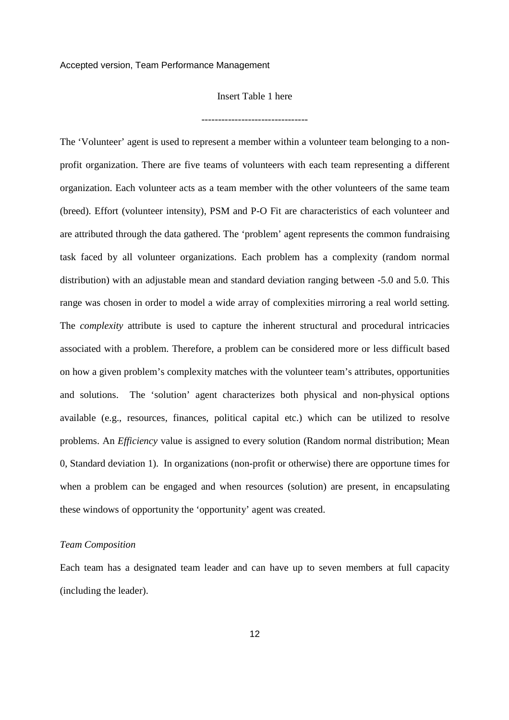# Insert Table 1 here

The 'Volunteer' agent is used to represent a member within a volunteer team belonging to a nonprofit organization. There are five teams of volunteers with each team representing a different organization. Each volunteer acts as a team member with the other volunteers of the same team (breed). Effort (volunteer intensity), PSM and P-O Fit are characteristics of each volunteer and are attributed through the data gathered. The 'problem' agent represents the common fundraising task faced by all volunteer organizations. Each problem has a complexity (random normal distribution) with an adjustable mean and standard deviation ranging between -5.0 and 5.0. This range was chosen in order to model a wide array of complexities mirroring a real world setting. The *complexity* attribute is used to capture the inherent structural and procedural intricacies associated with a problem. Therefore, a problem can be considered more or less difficult based on how a given problem's complexity matches with the volunteer team's attributes, opportunities and solutions. The 'solution' agent characterizes both physical and non-physical options available (e.g., resources, finances, political capital etc.) which can be utilized to resolve problems. An *Efficiency* value is assigned to every solution (Random normal distribution; Mean 0, Standard deviation 1). In organizations (non-profit or otherwise) there are opportune times for when a problem can be engaged and when resources (solution) are present, in encapsulating these windows of opportunity the 'opportunity' agent was created.

#### *Team Composition*

Each team has a designated team leader and can have up to seven members at full capacity (including the leader).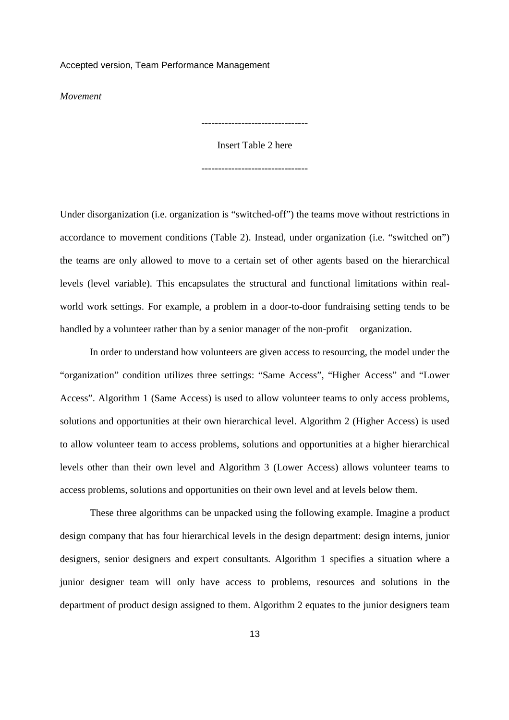*Movement* 

Insert Table 2 here

--------------------------------

--------------------------------

Under disorganization (i.e. organization is "switched-off") the teams move without restrictions in accordance to movement conditions (Table 2). Instead, under organization (i.e. "switched on") the teams are only allowed to move to a certain set of other agents based on the hierarchical levels (level variable). This encapsulates the structural and functional limitations within realworld work settings. For example, a problem in a door-to-door fundraising setting tends to be handled by a volunteer rather than by a senior manager of the non-profit organization.

In order to understand how volunteers are given access to resourcing, the model under the "organization" condition utilizes three settings: "Same Access", "Higher Access" and "Lower Access". Algorithm 1 (Same Access) is used to allow volunteer teams to only access problems, solutions and opportunities at their own hierarchical level. Algorithm 2 (Higher Access) is used to allow volunteer team to access problems, solutions and opportunities at a higher hierarchical levels other than their own level and Algorithm 3 (Lower Access) allows volunteer teams to access problems, solutions and opportunities on their own level and at levels below them.

These three algorithms can be unpacked using the following example. Imagine a product design company that has four hierarchical levels in the design department: design interns, junior designers, senior designers and expert consultants. Algorithm 1 specifies a situation where a junior designer team will only have access to problems, resources and solutions in the department of product design assigned to them. Algorithm 2 equates to the junior designers team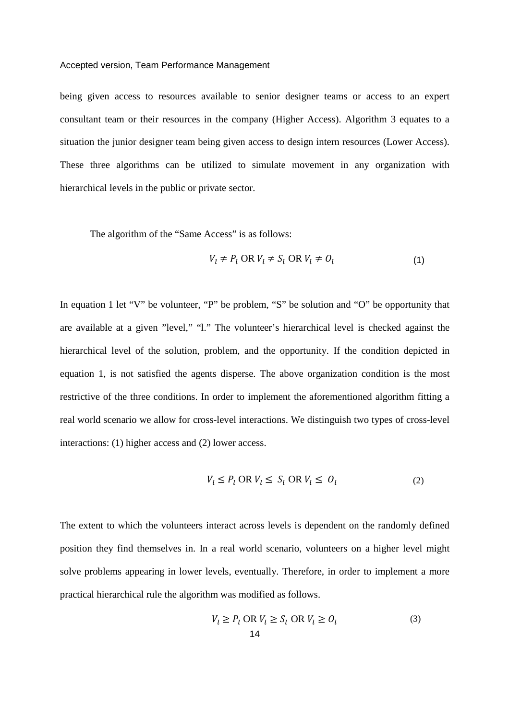being given access to resources available to senior designer teams or access to an expert consultant team or their resources in the company (Higher Access). Algorithm 3 equates to a situation the junior designer team being given access to design intern resources (Lower Access). These three algorithms can be utilized to simulate movement in any organization with hierarchical levels in the public or private sector.

The algorithm of the "Same Access" is as follows:

$$
V_l \neq P_l \text{ OR } V_l \neq S_l \text{ OR } V_l \neq O_l \tag{1}
$$

In equation 1 let "V" be volunteer, "P" be problem, "S" be solution and "O" be opportunity that are available at a given "level," "l." The volunteer's hierarchical level is checked against the hierarchical level of the solution, problem, and the opportunity. If the condition depicted in equation 1, is not satisfied the agents disperse. The above organization condition is the most restrictive of the three conditions. In order to implement the aforementioned algorithm fitting a real world scenario we allow for cross-level interactions. We distinguish two types of cross-level interactions: (1) higher access and (2) lower access.

$$
V_l \le P_l \text{ OR } V_l \le S_l \text{ OR } V_l \le O_l \tag{2}
$$

The extent to which the volunteers interact across levels is dependent on the randomly defined position they find themselves in. In a real world scenario, volunteers on a higher level might solve problems appearing in lower levels, eventually. Therefore, in order to implement a more practical hierarchical rule the algorithm was modified as follows.

$$
V_l \ge P_l \text{ OR } V_l \ge S_l \text{ OR } V_l \ge O_l \tag{3}
$$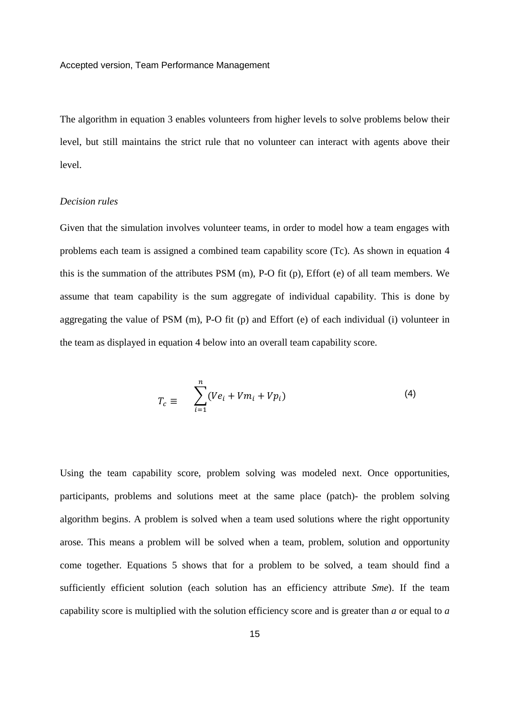The algorithm in equation 3 enables volunteers from higher levels to solve problems below their level, but still maintains the strict rule that no volunteer can interact with agents above their level.

# *Decision rules*

Given that the simulation involves volunteer teams, in order to model how a team engages with problems each team is assigned a combined team capability score (Tc). As shown in equation 4 this is the summation of the attributes PSM (m), P-O fit (p), Effort (e) of all team members. We assume that team capability is the sum aggregate of individual capability. This is done by aggregating the value of PSM (m), P-O fit (p) and Effort (e) of each individual (i) volunteer in the team as displayed in equation 4 below into an overall team capability score.

$$
T_c \equiv \sum_{i=1}^{n} (Ve_i + Vm_i + Vp_i)
$$
 (4)

Using the team capability score, problem solving was modeled next. Once opportunities, participants, problems and solutions meet at the same place (patch)- the problem solving algorithm begins. A problem is solved when a team used solutions where the right opportunity arose. This means a problem will be solved when a team, problem, solution and opportunity come together. Equations 5 shows that for a problem to be solved, a team should find a sufficiently efficient solution (each solution has an efficiency attribute *Sme*). If the team capability score is multiplied with the solution efficiency score and is greater than *a* or equal to *a*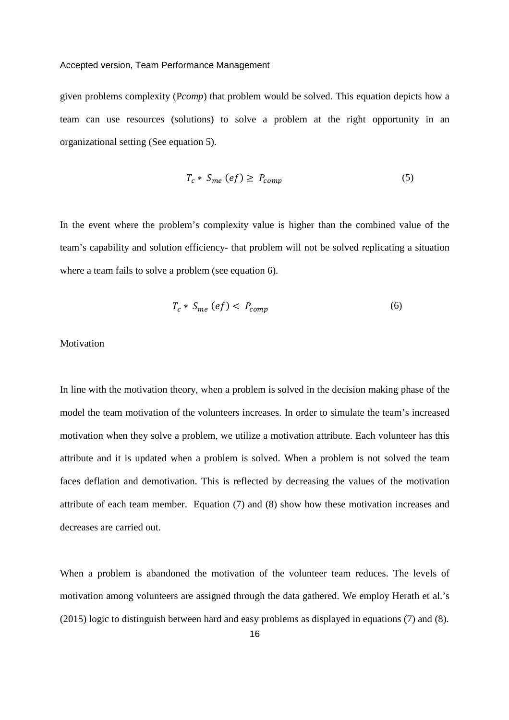given problems complexity (P*comp*) that problem would be solved. This equation depicts how a team can use resources (solutions) to solve a problem at the right opportunity in an organizational setting (See equation 5).

$$
T_c * S_{me} (ef) \ge P_{comp} \tag{5}
$$

In the event where the problem's complexity value is higher than the combined value of the team's capability and solution efficiency- that problem will not be solved replicating a situation where a team fails to solve a problem (see equation 6).

$$
T_c * S_{me} (ef) < P_{comp} \tag{6}
$$

# **Motivation**

In line with the motivation theory, when a problem is solved in the decision making phase of the model the team motivation of the volunteers increases. In order to simulate the team's increased motivation when they solve a problem, we utilize a motivation attribute. Each volunteer has this attribute and it is updated when a problem is solved. When a problem is not solved the team faces deflation and demotivation. This is reflected by decreasing the values of the motivation attribute of each team member. Equation (7) and (8) show how these motivation increases and decreases are carried out.

When a problem is abandoned the motivation of the volunteer team reduces. The levels of motivation among volunteers are assigned through the data gathered. We employ Herath et al.'s (2015) logic to distinguish between hard and easy problems as displayed in equations (7) and (8).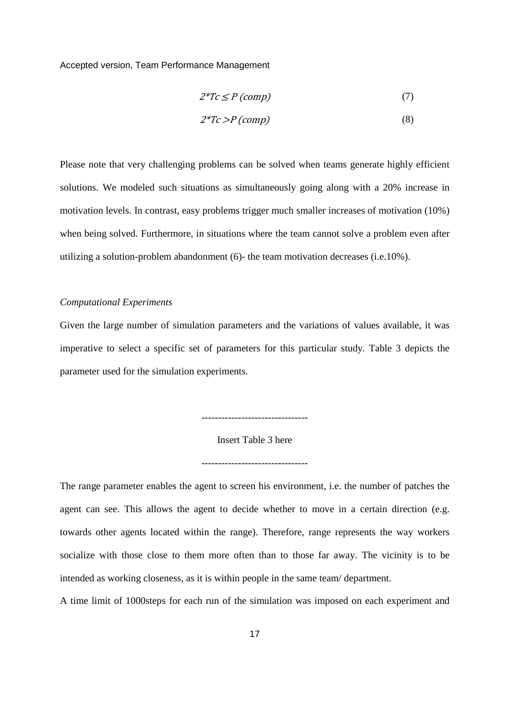$$
2^*Tc \le P \ (comp) \tag{7}
$$

$$
2^*Tc > P\left(\text{comp}\right) \tag{8}
$$

Please note that very challenging problems can be solved when teams generate highly efficient solutions. We modeled such situations as simultaneously going along with a 20% increase in motivation levels. In contrast, easy problems trigger much smaller increases of motivation (10%) when being solved. Furthermore, in situations where the team cannot solve a problem even after utilizing a solution-problem abandonment (6)- the team motivation decreases (i.e.10%).

#### *Computational Experiments*

Given the large number of simulation parameters and the variations of values available, it was imperative to select a specific set of parameters for this particular study. Table 3 depicts the parameter used for the simulation experiments.

Insert Table 3 here

--------------------------------

--------------------------------

The range parameter enables the agent to screen his environment, i.e. the number of patches the agent can see. This allows the agent to decide whether to move in a certain direction (e.g. towards other agents located within the range). Therefore, range represents the way workers socialize with those close to them more often than to those far away. The vicinity is to be intended as working closeness, as it is within people in the same team/ department.

A time limit of 1000steps for each run of the simulation was imposed on each experiment and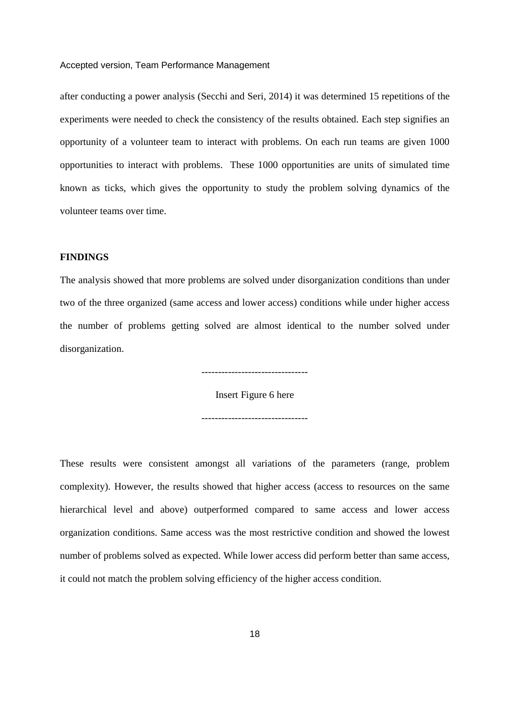after conducting a power analysis (Secchi and Seri, 2014) it was determined 15 repetitions of the experiments were needed to check the consistency of the results obtained. Each step signifies an opportunity of a volunteer team to interact with problems. On each run teams are given 1000 opportunities to interact with problems. These 1000 opportunities are units of simulated time known as ticks, which gives the opportunity to study the problem solving dynamics of the volunteer teams over time.

# **FINDINGS**

The analysis showed that more problems are solved under disorganization conditions than under two of the three organized (same access and lower access) conditions while under higher access the number of problems getting solved are almost identical to the number solved under disorganization.

--------------------------------

Insert Figure 6 here --------------------------------

These results were consistent amongst all variations of the parameters (range, problem complexity). However, the results showed that higher access (access to resources on the same hierarchical level and above) outperformed compared to same access and lower access organization conditions. Same access was the most restrictive condition and showed the lowest number of problems solved as expected. While lower access did perform better than same access, it could not match the problem solving efficiency of the higher access condition.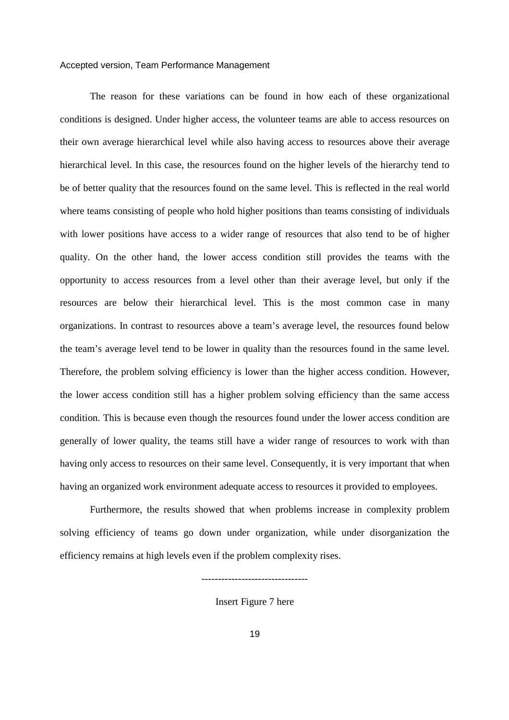The reason for these variations can be found in how each of these organizational conditions is designed. Under higher access, the volunteer teams are able to access resources on their own average hierarchical level while also having access to resources above their average hierarchical level. In this case, the resources found on the higher levels of the hierarchy tend to be of better quality that the resources found on the same level. This is reflected in the real world where teams consisting of people who hold higher positions than teams consisting of individuals with lower positions have access to a wider range of resources that also tend to be of higher quality. On the other hand, the lower access condition still provides the teams with the opportunity to access resources from a level other than their average level, but only if the resources are below their hierarchical level. This is the most common case in many organizations. In contrast to resources above a team's average level, the resources found below the team's average level tend to be lower in quality than the resources found in the same level. Therefore, the problem solving efficiency is lower than the higher access condition. However, the lower access condition still has a higher problem solving efficiency than the same access condition. This is because even though the resources found under the lower access condition are generally of lower quality, the teams still have a wider range of resources to work with than having only access to resources on their same level. Consequently, it is very important that when having an organized work environment adequate access to resources it provided to employees.

Furthermore, the results showed that when problems increase in complexity problem solving efficiency of teams go down under organization, while under disorganization the efficiency remains at high levels even if the problem complexity rises.

Insert Figure 7 here

--------------------------------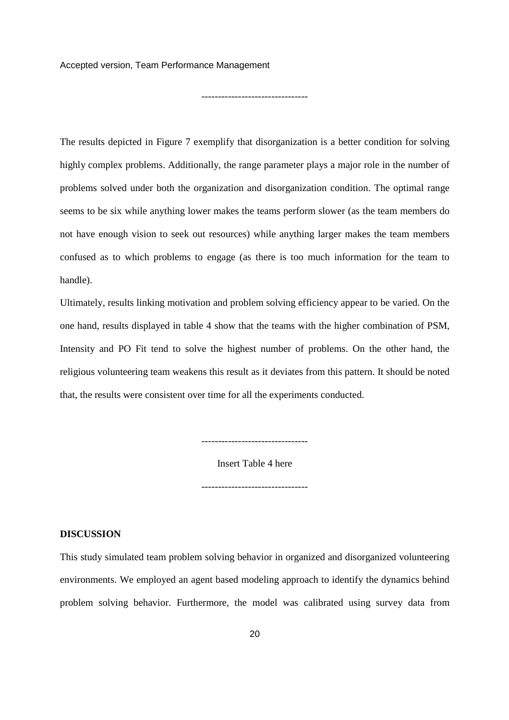--------------------------------

The results depicted in Figure 7 exemplify that disorganization is a better condition for solving highly complex problems. Additionally, the range parameter plays a major role in the number of problems solved under both the organization and disorganization condition. The optimal range seems to be six while anything lower makes the teams perform slower (as the team members do not have enough vision to seek out resources) while anything larger makes the team members confused as to which problems to engage (as there is too much information for the team to handle).

Ultimately, results linking motivation and problem solving efficiency appear to be varied. On the one hand, results displayed in table 4 show that the teams with the higher combination of PSM, Intensity and PO Fit tend to solve the highest number of problems. On the other hand, the religious volunteering team weakens this result as it deviates from this pattern. It should be noted that, the results were consistent over time for all the experiments conducted.

Insert Table 4 here

--------------------------------

--------------------------------

# **DISCUSSION**

This study simulated team problem solving behavior in organized and disorganized volunteering environments. We employed an agent based modeling approach to identify the dynamics behind problem solving behavior. Furthermore, the model was calibrated using survey data from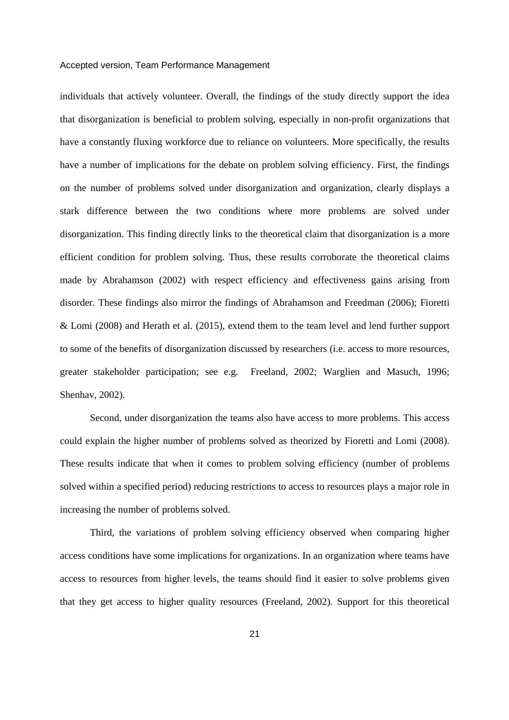individuals that actively volunteer. Overall, the findings of the study directly support the idea that disorganization is beneficial to problem solving, especially in non-profit organizations that have a constantly fluxing workforce due to reliance on volunteers. More specifically, the results have a number of implications for the debate on problem solving efficiency. First, the findings on the number of problems solved under disorganization and organization, clearly displays a stark difference between the two conditions where more problems are solved under disorganization. This finding directly links to the theoretical claim that disorganization is a more efficient condition for problem solving. Thus, these results corroborate the theoretical claims made by Abrahamson (2002) with respect efficiency and effectiveness gains arising from disorder. These findings also mirror the findings of Abrahamson and Freedman (2006); Fioretti & Lomi (2008) and Herath et al. (2015), extend them to the team level and lend further support to some of the benefits of disorganization discussed by researchers (i.e. access to more resources, greater stakeholder participation; see e.g. Freeland, 2002; Warglien and Masuch, 1996; Shenhav, 2002).

Second, under disorganization the teams also have access to more problems. This access could explain the higher number of problems solved as theorized by Fioretti and Lomi (2008). These results indicate that when it comes to problem solving efficiency (number of problems solved within a specified period) reducing restrictions to access to resources plays a major role in increasing the number of problems solved.

Third, the variations of problem solving efficiency observed when comparing higher access conditions have some implications for organizations. In an organization where teams have access to resources from higher levels, the teams should find it easier to solve problems given that they get access to higher quality resources (Freeland, 2002). Support for this theoretical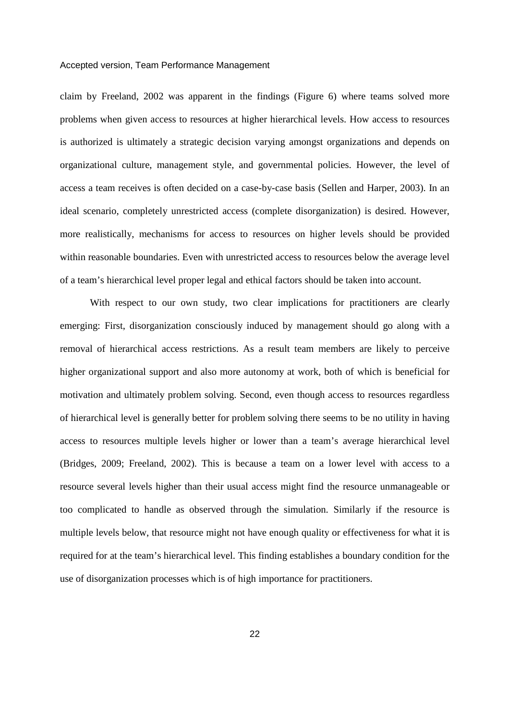claim by Freeland, 2002 was apparent in the findings (Figure 6) where teams solved more problems when given access to resources at higher hierarchical levels. How access to resources is authorized is ultimately a strategic decision varying amongst organizations and depends on organizational culture, management style, and governmental policies. However, the level of access a team receives is often decided on a case-by-case basis (Sellen and Harper, 2003). In an ideal scenario, completely unrestricted access (complete disorganization) is desired. However, more realistically, mechanisms for access to resources on higher levels should be provided within reasonable boundaries. Even with unrestricted access to resources below the average level of a team's hierarchical level proper legal and ethical factors should be taken into account.

With respect to our own study, two clear implications for practitioners are clearly emerging: First, disorganization consciously induced by management should go along with a removal of hierarchical access restrictions. As a result team members are likely to perceive higher organizational support and also more autonomy at work, both of which is beneficial for motivation and ultimately problem solving. Second, even though access to resources regardless of hierarchical level is generally better for problem solving there seems to be no utility in having access to resources multiple levels higher or lower than a team's average hierarchical level (Bridges, 2009; Freeland, 2002). This is because a team on a lower level with access to a resource several levels higher than their usual access might find the resource unmanageable or too complicated to handle as observed through the simulation. Similarly if the resource is multiple levels below, that resource might not have enough quality or effectiveness for what it is required for at the team's hierarchical level. This finding establishes a boundary condition for the use of disorganization processes which is of high importance for practitioners.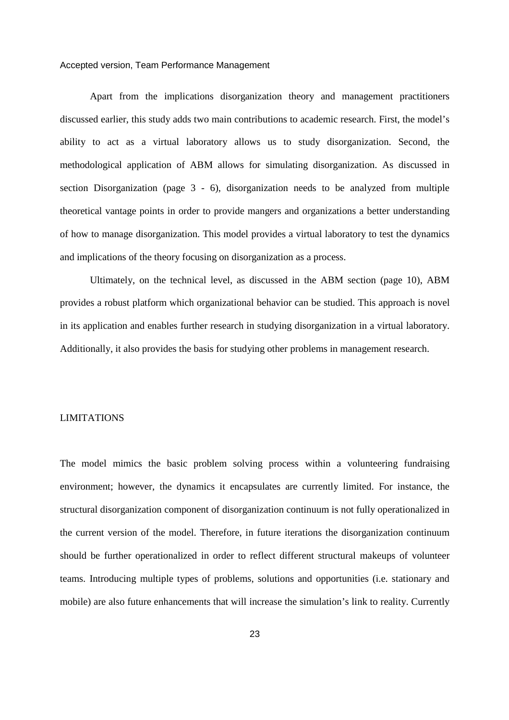Apart from the implications disorganization theory and management practitioners discussed earlier, this study adds two main contributions to academic research. First, the model's ability to act as a virtual laboratory allows us to study disorganization. Second, the methodological application of ABM allows for simulating disorganization. As discussed in section Disorganization (page 3 - 6), disorganization needs to be analyzed from multiple theoretical vantage points in order to provide mangers and organizations a better understanding of how to manage disorganization. This model provides a virtual laboratory to test the dynamics and implications of the theory focusing on disorganization as a process.

Ultimately, on the technical level, as discussed in the ABM section (page 10), ABM provides a robust platform which organizational behavior can be studied. This approach is novel in its application and enables further research in studying disorganization in a virtual laboratory. Additionally, it also provides the basis for studying other problems in management research.

# LIMITATIONS

The model mimics the basic problem solving process within a volunteering fundraising environment; however, the dynamics it encapsulates are currently limited. For instance, the structural disorganization component of disorganization continuum is not fully operationalized in the current version of the model. Therefore, in future iterations the disorganization continuum should be further operationalized in order to reflect different structural makeups of volunteer teams. Introducing multiple types of problems, solutions and opportunities (i.e. stationary and mobile) are also future enhancements that will increase the simulation's link to reality. Currently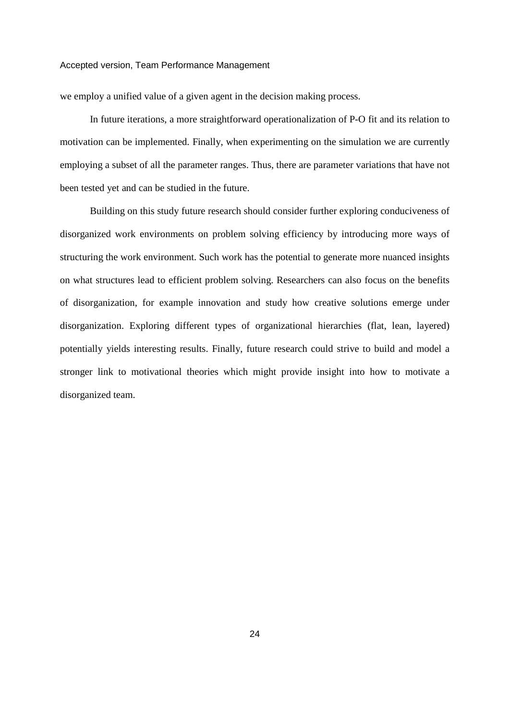we employ a unified value of a given agent in the decision making process.

In future iterations, a more straightforward operationalization of P-O fit and its relation to motivation can be implemented. Finally, when experimenting on the simulation we are currently employing a subset of all the parameter ranges. Thus, there are parameter variations that have not been tested yet and can be studied in the future.

Building on this study future research should consider further exploring conduciveness of disorganized work environments on problem solving efficiency by introducing more ways of structuring the work environment. Such work has the potential to generate more nuanced insights on what structures lead to efficient problem solving. Researchers can also focus on the benefits of disorganization, for example innovation and study how creative solutions emerge under disorganization. Exploring different types of organizational hierarchies (flat, lean, layered) potentially yields interesting results. Finally, future research could strive to build and model a stronger link to motivational theories which might provide insight into how to motivate a disorganized team.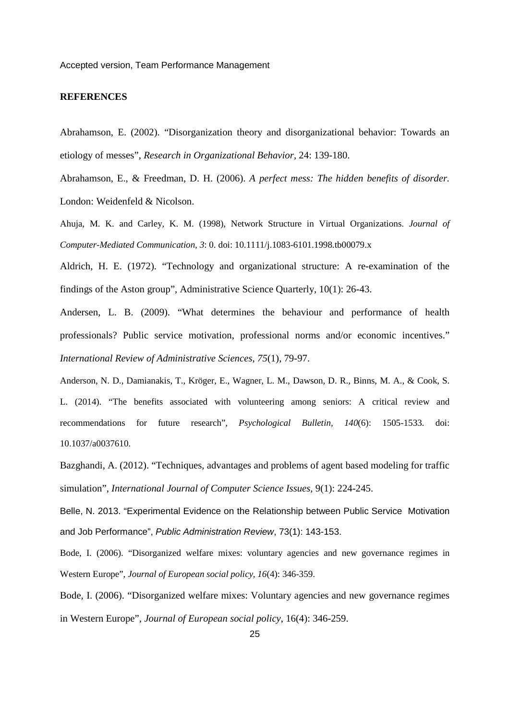# **REFERENCES**

Abrahamson, E. (2002). "Disorganization theory and disorganizational behavior: Towards an etiology of messes", *Research in Organizational Behavior,* 24: 139-180.

Abrahamson, E., & Freedman, D. H. (2006). *A perfect mess: The hidden benefits of disorder.* London: Weidenfeld & Nicolson.

Ahuja, M. K. and Carley, K. M. (1998), Network Structure in Virtual Organizations. *Journal of Computer-Mediated Communication, 3*: 0. doi: 10.1111/j.1083-6101.1998.tb00079.x

Aldrich, H. E. (1972). "Technology and organizational structure: A re-examination of the findings of the Aston group", Administrative Science Quarterly, 10(1): 26-43.

Andersen, L. B. (2009). "What determines the behaviour and performance of health professionals? Public service motivation, professional norms and/or economic incentives." *International Review of Administrative Sciences, 75*(1), 79-97.

Anderson, N. D., Damianakis, T., Kröger, E., Wagner, L. M., Dawson, D. R., Binns, M. A., & Cook, S. L. (2014). "The benefits associated with volunteering among seniors: A critical review and recommendations for future research", *Psychological Bulletin, 140*(6): 1505-1533. doi: 10.1037/a0037610.

Bazghandi, A. (2012). "Techniques, advantages and problems of agent based modeling for traffic simulation", *International Journal of Computer Science Issues,* 9(1): 224-245.

Belle, N. 2013. "Experimental Evidence on the Relationship between Public Service Motivation and Job Performance", Public Administration Review, 73(1): 143-153.

Bode, I. (2006). "Disorganized welfare mixes: voluntary agencies and new governance regimes in Western Europe", *Journal of European social policy, 16*(4): 346-359.

Bode, I. (2006). "Disorganized welfare mixes: Voluntary agencies and new governance regimes in Western Europe", *Journal of European social policy*, 16(4): 346-259.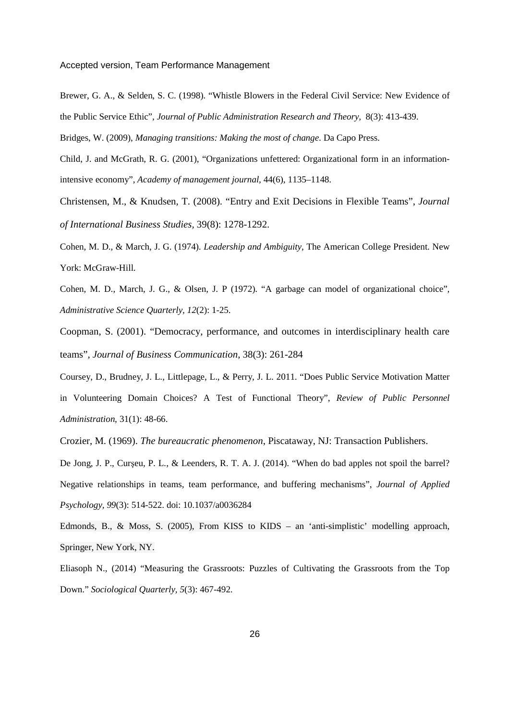Brewer, G. A., & Selden, S. C. (1998). "Whistle Blowers in the Federal Civil Service: New Evidence of the Public Service Ethic", *Journal of Public Administration Research and Theory,* 8(3): 413-439.

Bridges, W. (2009), *Managing transitions: Making the most of change*. Da Capo Press.

Child, J. and McGrath, R. G. (2001), "Organizations unfettered: Organizational form in an informationintensive economy", *Academy of management journal,* 44(6), 1135–1148.

Christensen, M., & Knudsen, T. (2008). "Entry and Exit Decisions in Flexible Teams", *Journal of International Business Studies,* 39(8): 1278-1292.

Cohen, M. D., & March, J. G. (1974). *Leadership and Ambiguity*, The American College President. New York: McGraw-Hill.

Cohen, M. D., March, J. G., & Olsen, J. P (1972). "A garbage can model of organizational choice", *Administrative Science Quarterly, 12*(2): 1-25.

Coopman, S. (2001). "Democracy, performance, and outcomes in interdisciplinary health care teams", *Journal of Business Communication*, 38(3): 261-284

Coursey, D., Brudney, J. L., Littlepage, L., & Perry, J. L. 2011. "Does Public Service Motivation Matter in Volunteering Domain Choices? A Test of Functional Theory", *Review of Public Personnel Administration*, 31(1): 48-66.

Crozier, M. (1969). *The bureaucratic phenomenon*, Piscataway, NJ: Transaction Publishers.

De Jong, J. P., Curşeu, P. L., & Leenders, R. T. A. J. (2014). "When do bad apples not spoil the barrel? Negative relationships in teams, team performance, and buffering mechanisms", *Journal of Applied Psychology, 99*(3): 514-522. doi: 10.1037/a0036284

Edmonds, B., & Moss, S. (2005), From KISS to KIDS – an 'anti-simplistic' modelling approach, Springer, New York, NY.

Eliasoph N., (2014) "Measuring the Grassroots: Puzzles of Cultivating the Grassroots from the Top Down." *Sociological Quarterly, 5*(3): 467-492.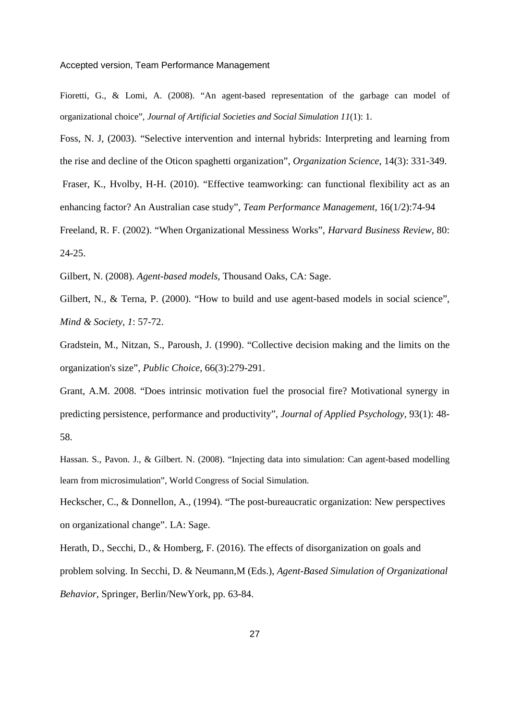Fioretti, G., & Lomi, A. (2008). "An agent-based representation of the garbage can model of organizational choice", *Journal of Artificial Societies and Social Simulation 11*(1): 1.

Foss, N. J, (2003). "Selective intervention and internal hybrids: Interpreting and learning from the rise and decline of the Oticon spaghetti organization", *Organization Science*, 14(3): 331-349. Fraser, K., Hvolby, H-H. (2010). "Effective teamworking: can functional flexibility act as an enhancing factor? An Australian case study", *Team Performance Management*, 16(1/2):74-94 Freeland, R. F. (2002). "When Organizational Messiness Works", *Harvard Business Review*, 80: 24-25.

Gilbert, N. (2008). *Agent-based models*, Thousand Oaks, CA: Sage.

Gilbert, N., & Terna, P. (2000). "How to build and use agent-based models in social science", *Mind & Society, 1*: 57-72.

Gradstein, M., Nitzan, S., Paroush, J. (1990). "Collective decision making and the limits on the organization's size", *Public Choice*, 66(3):279-291.

Grant, A.M. 2008. "Does intrinsic motivation fuel the prosocial fire? Motivational synergy in predicting persistence, performance and productivity", *Journal of Applied Psychology,* 93(1): 48- 58.

Hassan. S., Pavon. J., & Gilbert. N. (2008). "Injecting data into simulation: Can agent-based modelling learn from microsimulation", World Congress of Social Simulation.

Heckscher, C., & Donnellon, A., (1994). "The post-bureaucratic organization: New perspectives on organizational change". LA: Sage.

Herath, D., Secchi, D., & Homberg, F. (2016). The effects of disorganization on goals and problem solving. In Secchi, D. & Neumann,M (Eds.), *Agent-Based Simulation of Organizational Behavior,* Springer, Berlin/NewYork, pp. 63-84.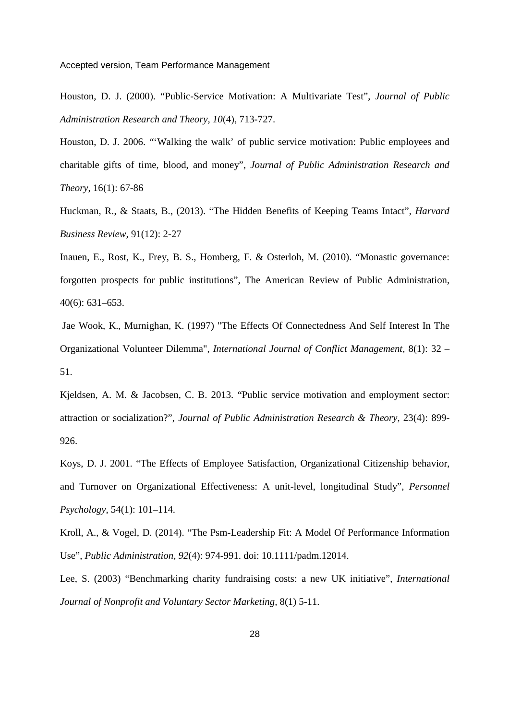Houston, D. J. (2000). "Public-Service Motivation: A Multivariate Test", *Journal of Public Administration Research and Theory, 10*(4), 713-727.

Houston, D. J. 2006. "'Walking the walk' of public service motivation: Public employees and charitable gifts of time, blood, and money", *Journal of Public Administration Research and Theory*, 16(1): 67-86

Huckman, R., & Staats, B., (2013). "The Hidden Benefits of Keeping Teams Intact", *Harvard Business Review,* 91(12): 2-27

Inauen, E., Rost, K., Frey, B. S., Homberg, F. & Osterloh, M. (2010). "Monastic governance: forgotten prospects for public institutions", The American Review of Public Administration, 40(6): 631–653.

 Jae Wook, K., Murnighan, K. (1997) "The Effects Of Connectedness And Self Interest In The Organizational Volunteer Dilemma", *International Journal of Conflict Management*, 8(1): 32 – 51.

Kjeldsen, A. M. & Jacobsen, C. B. 2013. "Public service motivation and employment sector: attraction or socialization?", *Journal of Public Administration Research & Theory*, 23(4): 899- 926.

Koys, D. J. 2001. "The Effects of Employee Satisfaction, Organizational Citizenship behavior, and Turnover on Organizational Effectiveness: A unit-level, longitudinal Study", *Personnel Psychology*, 54(1): 101–114.

Kroll, A., & Vogel, D. (2014). "The Psm-Leadership Fit: A Model Of Performance Information Use", *Public Administration, 92*(4): 974-991. doi: 10.1111/padm.12014.

Lee, S. (2003) "Benchmarking charity fundraising costs: a new UK initiative", *International Journal of Nonprofit and Voluntary Sector Marketing,* 8(1) 5-11.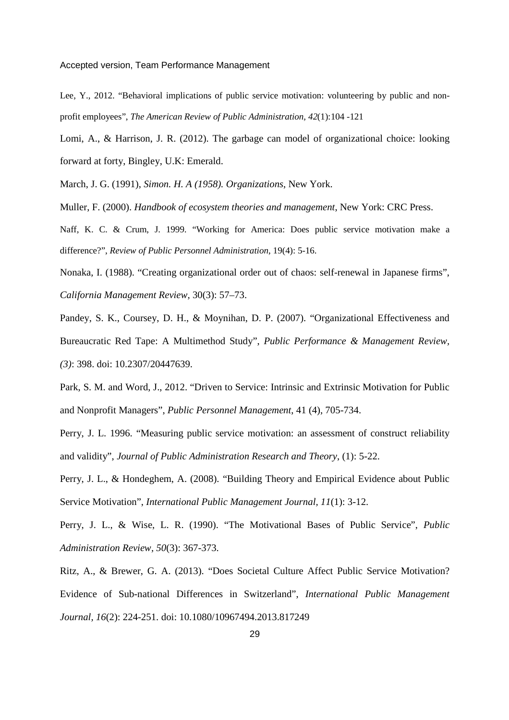Lee, Y., 2012. "Behavioral implications of public service motivation: volunteering by public and nonprofit employees", *The American Review of Public Administration, 42*(1):104 -121

Lomi, A., & Harrison, J. R. (2012). The garbage can model of organizational choice: looking forward at forty, Bingley, U.K: Emerald.

March, J. G. (1991), *Simon. H. A (1958). Organizations*, New York.

Muller, F. (2000). *Handbook of ecosystem theories and management*, New York: CRC Press.

Naff, K. C. & Crum, J. 1999. "Working for America: Does public service motivation make a difference?", *Review of Public Personnel Administration*, 19(4): 5-16.

Nonaka, I. (1988). "Creating organizational order out of chaos: self-renewal in Japanese firms", *California Management Review,* 30(3): 57–73.

Pandey, S. K., Coursey, D. H., & Moynihan, D. P. (2007). "Organizational Effectiveness and Bureaucratic Red Tape: A Multimethod Study", *Public Performance & Management Review, (3)*: 398. doi: 10.2307/20447639.

Park, S. M. and Word, J., 2012. "Driven to Service: Intrinsic and Extrinsic Motivation for Public and Nonprofit Managers", *Public Personnel Management*, 41 (4), 705-734.

Perry, J. L. 1996. "Measuring public service motivation: an assessment of construct reliability and validity", *Journal of Public Administration Research and Theory*, (1): 5-22.

Perry, J. L., & Hondeghem, A. (2008). "Building Theory and Empirical Evidence about Public Service Motivation", *International Public Management Journal, 11*(1): 3-12.

Perry, J. L., & Wise, L. R. (1990). "The Motivational Bases of Public Service", *Public Administration Review, 50*(3): 367-373.

Ritz, A., & Brewer, G. A. (2013). "Does Societal Culture Affect Public Service Motivation? Evidence of Sub-national Differences in Switzerland", *International Public Management Journal, 16*(2): 224-251. doi: 10.1080/10967494.2013.817249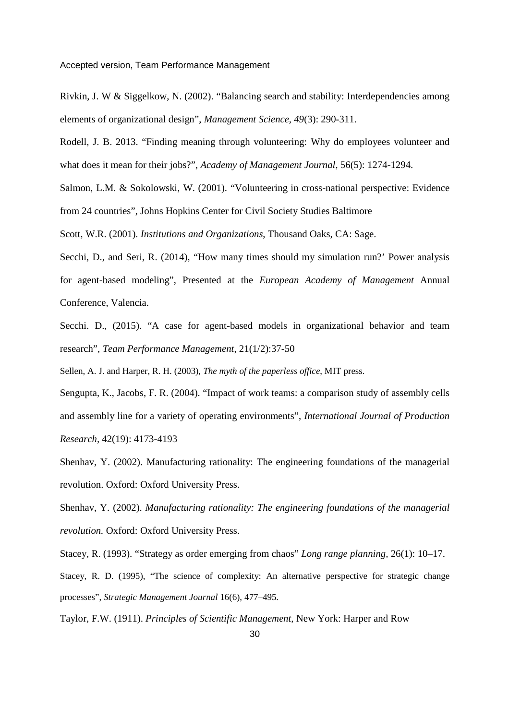Rivkin, J. W & Siggelkow, N. (2002). "Balancing search and stability: Interdependencies among elements of organizational design", *Management Science, 49*(3): 290-311.

Rodell, J. B. 2013. "Finding meaning through volunteering: Why do employees volunteer and what does it mean for their jobs?", *Academy of Management Journal*, 56(5): 1274-1294.

Salmon, L.M. & Sokolowski, W. (2001). "Volunteering in cross-national perspective: Evidence from 24 countries", Johns Hopkins Center for Civil Society Studies Baltimore

Scott, W.R. (2001). *Institutions and Organizations*, Thousand Oaks, CA: Sage.

Secchi, D., and Seri, R. (2014), "How many times should my simulation run?' Power analysis for agent-based modeling", Presented at the *European Academy of Management* Annual Conference, Valencia.

Secchi. D., (2015). "A case for agent-based models in organizational behavior and team research", *Team Performance Management*, 21(1/2):37-50

Sellen, A. J. and Harper, R. H. (2003), *The myth of the paperless office*, MIT press.

Sengupta, K., Jacobs, F. R. (2004). "Impact of work teams: a comparison study of assembly cells and assembly line for a variety of operating environments", *International Journal of Production Research,* 42(19): 4173-4193

Shenhav, Y. (2002). Manufacturing rationality: The engineering foundations of the managerial revolution. Oxford: Oxford University Press.

Shenhav, Y. (2002). *Manufacturing rationality: The engineering foundations of the managerial revolution.* Oxford: Oxford University Press.

Stacey, R. (1993). "Strategy as order emerging from chaos" *Long range planning,* 26(1): 10–17.

Stacey, R. D. (1995), "The science of complexity: An alternative perspective for strategic change processes", *Strategic Management Journal* 16(6), 477–495.

Taylor, F.W. (1911). *Principles of Scientific Management*, New York: Harper and Row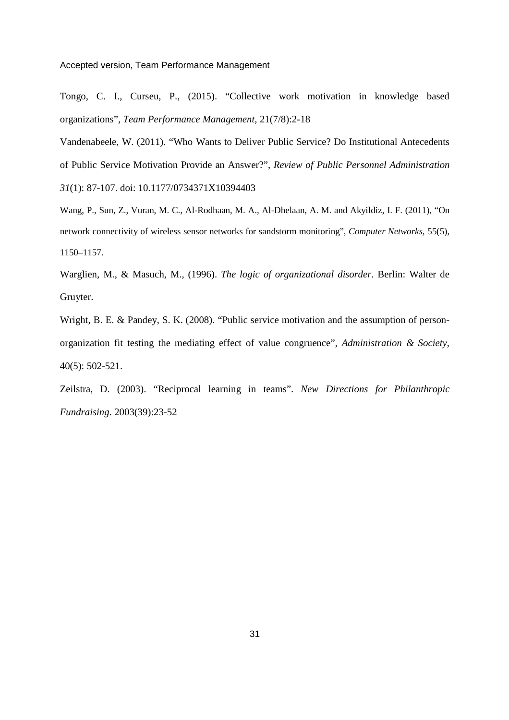Tongo, C. I., Curseu, P., (2015). "Collective work motivation in knowledge based organizations", *Team Performance Management*, 21(7/8):2-18

Vandenabeele, W. (2011). "Who Wants to Deliver Public Service? Do Institutional Antecedents of Public Service Motivation Provide an Answer?", *Review of Public Personnel Administration 31*(1): 87-107. doi: 10.1177/0734371X10394403

Wang, P., Sun, Z., Vuran, M. C., Al-Rodhaan, M. A., Al-Dhelaan, A. M. and Akyildiz, I. F. (2011), "On network connectivity of wireless sensor networks for sandstorm monitoring", *Computer Networks,* 55(5), 1150–1157.

Warglien, M., & Masuch, M., (1996). *The logic of organizational disorder*. Berlin: Walter de Gruyter.

Wright, B. E. & Pandey, S. K. (2008). "Public service motivation and the assumption of personorganization fit testing the mediating effect of value congruence", *Administration & Society*, 40(5): 502-521.

Zeilstra, D. (2003). "Reciprocal learning in teams". *New Directions for Philanthropic Fundraising*. 2003(39):23-52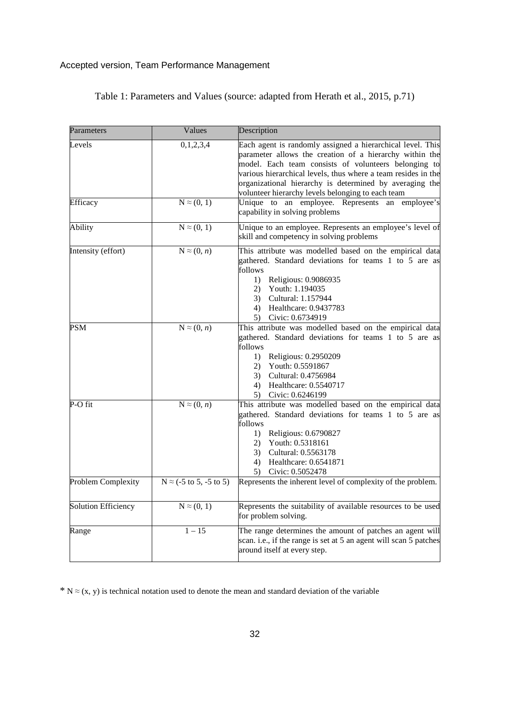| Parameters          | Values                                           | Description                                                                                                                                                                                                                                                                                                                                                    |  |  |  |
|---------------------|--------------------------------------------------|----------------------------------------------------------------------------------------------------------------------------------------------------------------------------------------------------------------------------------------------------------------------------------------------------------------------------------------------------------------|--|--|--|
| Levels              | 0,1,2,3,4                                        | Each agent is randomly assigned a hierarchical level. This<br>parameter allows the creation of a hierarchy within the<br>model. Each team consists of volunteers belonging to<br>various hierarchical levels, thus where a team resides in the<br>organizational hierarchy is determined by averaging the<br>volunteer hierarchy levels belonging to each team |  |  |  |
| Efficacy            | $N \approx (0, 1)$                               | Unique to an employee. Represents an<br>employee's<br>capability in solving problems                                                                                                                                                                                                                                                                           |  |  |  |
| <b>Ability</b>      | $N \approx (0, 1)$                               | Unique to an employee. Represents an employee's level of<br>skill and competency in solving problems                                                                                                                                                                                                                                                           |  |  |  |
| Intensity (effort)  | $N \approx (0, n)$                               | This attribute was modelled based on the empirical data<br>gathered. Standard deviations for teams 1 to 5 are as<br>follows<br>1) Religious: 0.9086935<br>Youth: 1.194035<br>2)<br>Cultural: 1.157944<br>3)<br>4)<br>Healthcare: 0.9437783<br>5) Civic: 0.6734919                                                                                              |  |  |  |
| PSM                 | $N \approx (0, n)$                               | This attribute was modelled based on the empirical data<br>gathered. Standard deviations for teams 1 to 5 are as<br>follows<br>Religious: 0.2950209<br>1)<br>Youth: 0.5591867<br>(2)<br>3)<br>Cultural: 0.4756984<br>Healthcare: 0.5540717<br>4)<br>5) Civic: 0.6246199                                                                                        |  |  |  |
| P-O fit             | $N \approx (0, n)$                               | This attribute was modelled based on the empirical data<br>gathered. Standard deviations for teams 1 to 5 are as<br>follows<br>Religious: 0.6790827<br>1)<br>Youth: 0.5318161<br>2)<br>3)<br>Cultural: 0.5563178<br>Healthcare: 0.6541871<br>4)<br>5) Civic: 0.5052478                                                                                         |  |  |  |
| Problem Complexity  | $N \approx (-5 \text{ to } 5, -5 \text{ to } 5)$ | Represents the inherent level of complexity of the problem.                                                                                                                                                                                                                                                                                                    |  |  |  |
| Solution Efficiency | $N \approx (0, 1)$                               | Represents the suitability of available resources to be used<br>for problem solving.                                                                                                                                                                                                                                                                           |  |  |  |
| Range               | $1 - 15$                                         | The range determines the amount of patches an agent will<br>scan. i.e., if the range is set at 5 an agent will scan 5 patches<br>around itself at every step.                                                                                                                                                                                                  |  |  |  |

# Table 1: Parameters and Values (source: adapted from Herath et al., 2015, p.71)

<sup>\*</sup> N  $\approx$  (x, y) is technical notation used to denote the mean and standard deviation of the variable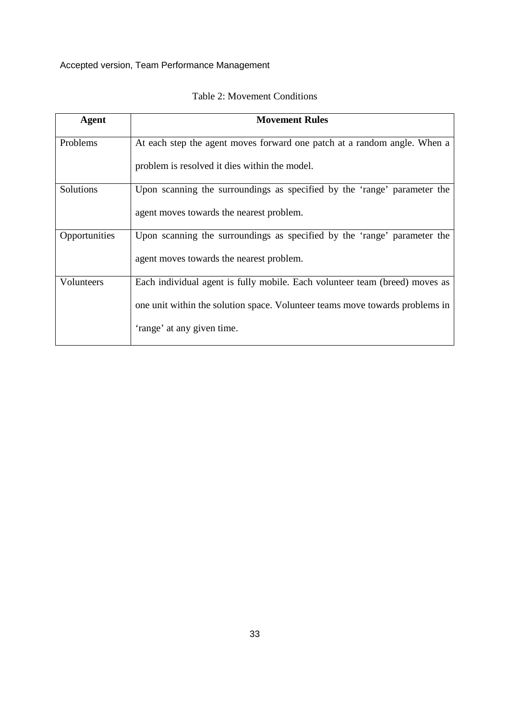| Agent         | <b>Movement Rules</b>                                                        |
|---------------|------------------------------------------------------------------------------|
| Problems      | At each step the agent moves forward one patch at a random angle. When a     |
|               | problem is resolved it dies within the model.                                |
| Solutions     | Upon scanning the surroundings as specified by the 'range' parameter the     |
|               | agent moves towards the nearest problem.                                     |
| Opportunities | Upon scanning the surroundings as specified by the 'range' parameter the     |
|               | agent moves towards the nearest problem.                                     |
| Volunteers    | Each individual agent is fully mobile. Each volunteer team (breed) moves as  |
|               | one unit within the solution space. Volunteer teams move towards problems in |
|               | 'range' at any given time.                                                   |

# Table 2: Movement Conditions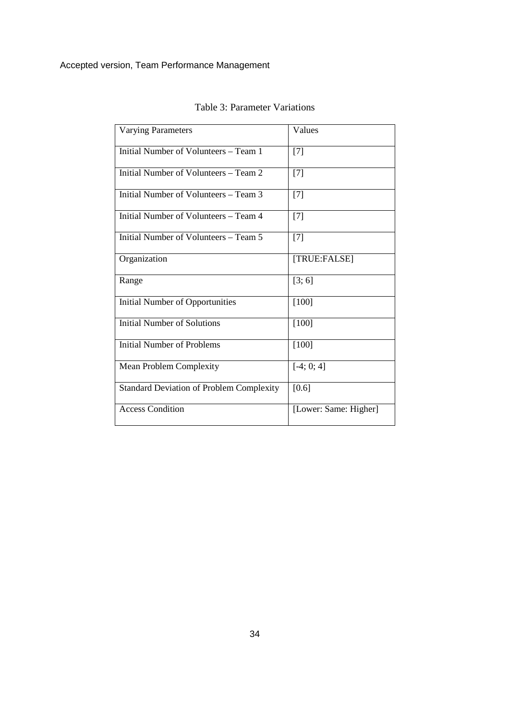| <b>Varying Parameters</b>                       | Values                |
|-------------------------------------------------|-----------------------|
| Initial Number of Volunteers – Team 1           | $[7]$                 |
| Initial Number of Volunteers – Team 2           | $[7]$                 |
| Initial Number of Volunteers – Team 3           | [7]                   |
| Initial Number of Volunteers – Team 4           | $[7]$                 |
| Initial Number of Volunteers – Team 5           | $[7]$                 |
| Organization                                    | [TRUE:FALSE]          |
| Range                                           | [3; 6]                |
| <b>Initial Number of Opportunities</b>          | $[100]$               |
| <b>Initial Number of Solutions</b>              | $[100]$               |
| <b>Initial Number of Problems</b>               | $[100]$               |
| <b>Mean Problem Complexity</b>                  | $[-4; 0; 4]$          |
| <b>Standard Deviation of Problem Complexity</b> | [0.6]                 |
| <b>Access Condition</b>                         | [Lower: Same: Higher] |

Table 3: Parameter Variations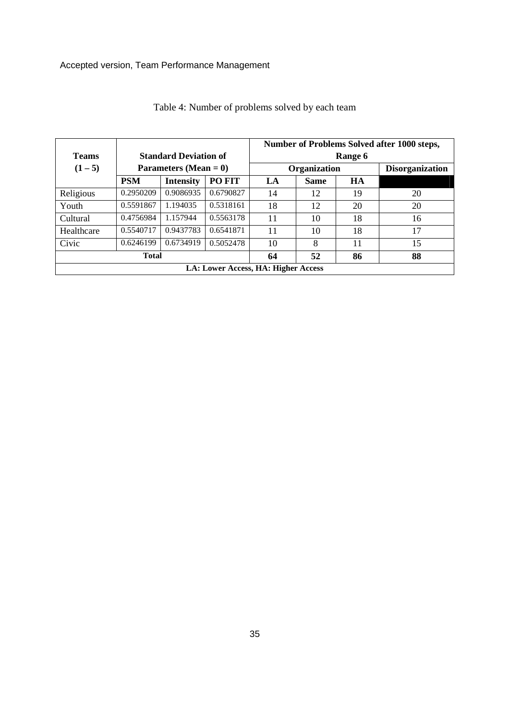| <b>Teams</b>                        | <b>Standard Deviation of</b><br>Parameters (Mean $= 0$ ) |                  |           | Number of Problems Solved after 1000 steps,<br>Range 6 |             |           |                        |
|-------------------------------------|----------------------------------------------------------|------------------|-----------|--------------------------------------------------------|-------------|-----------|------------------------|
| $(1-5)$                             |                                                          |                  |           | Organization                                           |             |           | <b>Disorganization</b> |
|                                     | <b>PSM</b>                                               | <b>Intensity</b> | PO FIT    | LA                                                     | <b>Same</b> | <b>HA</b> |                        |
| Religious                           | 0.2950209                                                | 0.9086935        | 0.6790827 | 14                                                     | 12          | 19        | 20                     |
| Youth                               | 0.5591867                                                | 1.194035         | 0.5318161 | 18                                                     | 12          | 20        | 20                     |
| Cultural                            | 0.4756984                                                | 1.157944         | 0.5563178 | 11                                                     | 10          | 18        | 16                     |
| Healthcare                          | 0.5540717                                                | 0.9437783        | 0.6541871 | 11                                                     | 10          | 18        | 17                     |
| Civic                               | 0.6246199                                                | 0.6734919        | 0.5052478 | 10                                                     | 8           | 11        | 15                     |
| <b>Total</b>                        |                                                          |                  | 64        | 52                                                     | 86          | 88        |                        |
| LA: Lower Access, HA: Higher Access |                                                          |                  |           |                                                        |             |           |                        |

|  |  | Table 4: Number of problems solved by each team |
|--|--|-------------------------------------------------|
|  |  |                                                 |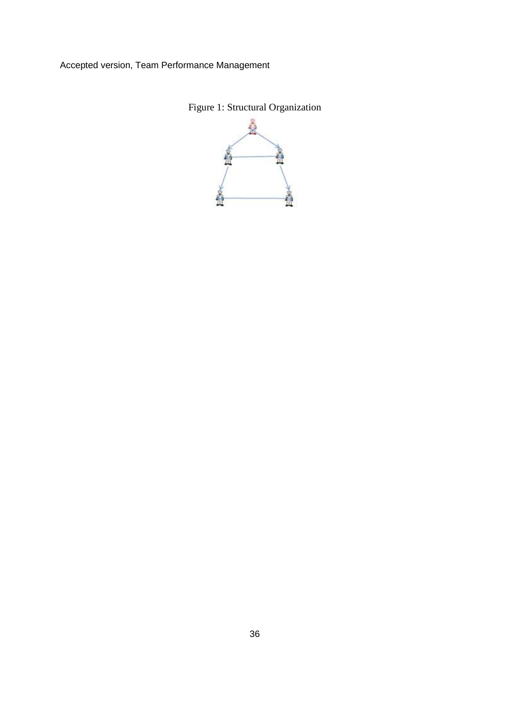

Figure 1: Structural Organization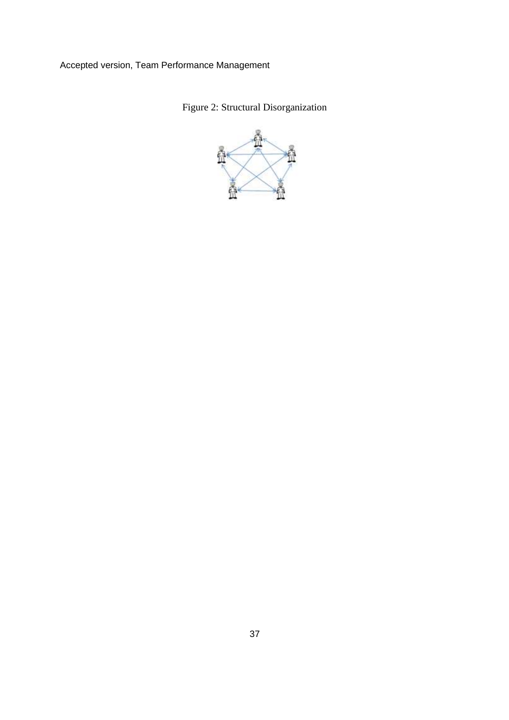Figure 2: Structural Disorganization

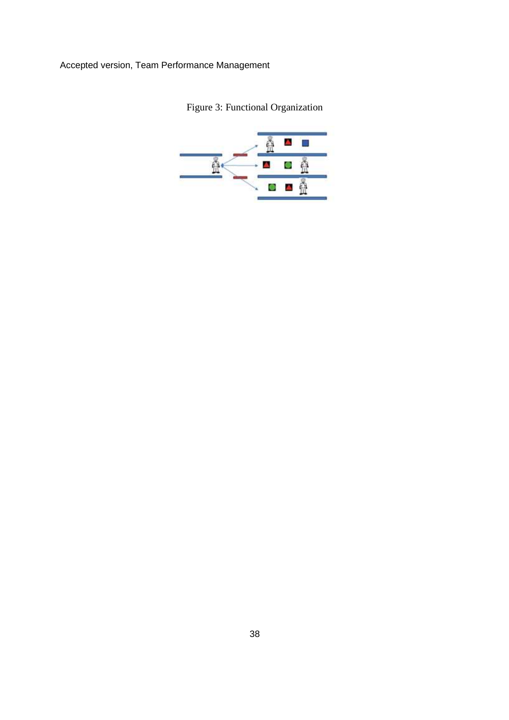Figure 3: Functional Organization

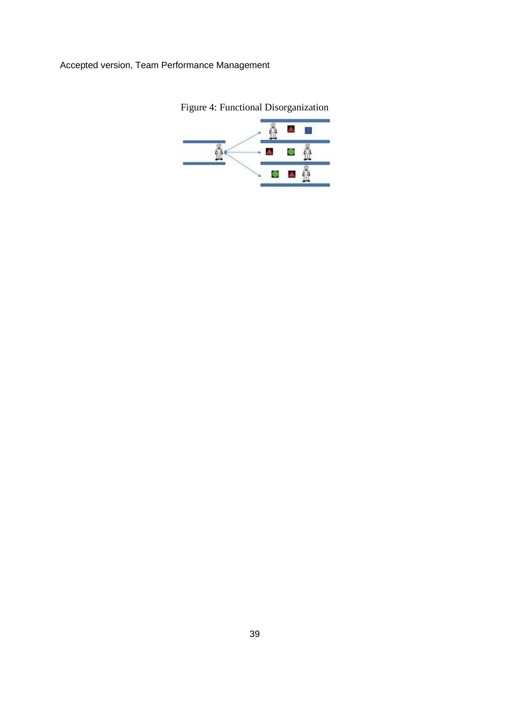

Figure 4: Functional Disorganization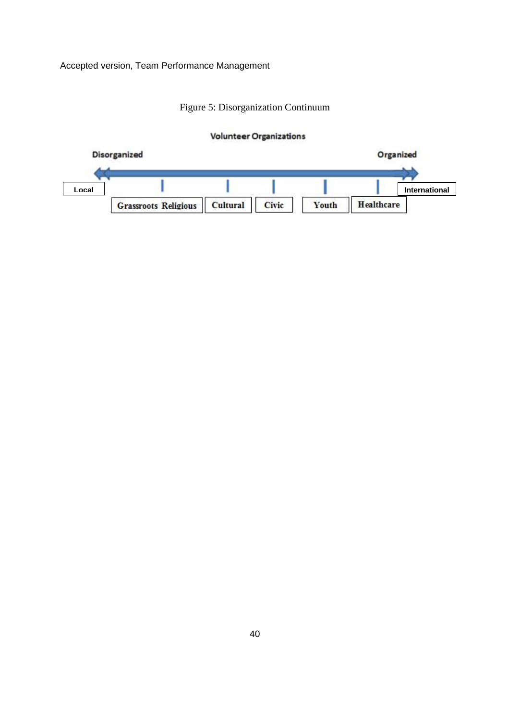# Figure 5: Disorganization Continuum

# **Volunteer Organizations**

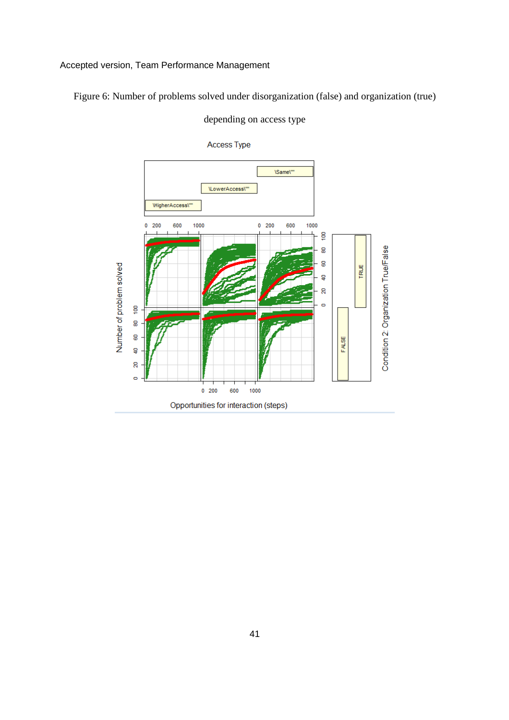Figure 6: Number of problems solved under disorganization (false) and organization (true)



depending on access type